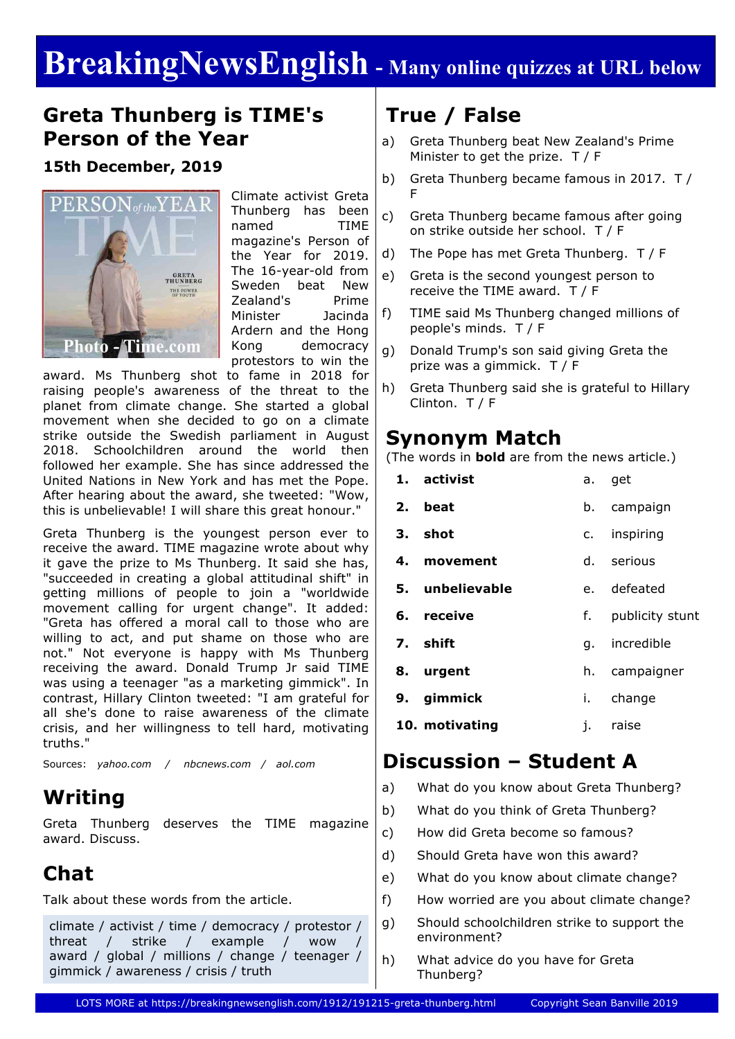# **BreakingNewsEnglish - Many online quizzes at URL below**

### **Greta Thunberg is TIME's Person of the Year**

#### **15th December, 2019**



Climate activist Greta Thunberg has been named TIME magazine's Person of the Year for 2019. The 16-year-old from Sweden beat New Zealand's Prime Minister Jacinda Ardern and the Hong Kong democracy protestors to win the

award. Ms Thunberg shot to fame in 2018 for raising people's awareness of the threat to the planet from climate change. She started a global movement when she decided to go on a climate strike outside the Swedish parliament in August 2018. Schoolchildren around the world then followed her example. She has since addressed the United Nations in New York and has met the Pope. After hearing about the award, she tweeted: "Wow, this is unbelievable! I will share this great honour."

Greta Thunberg is the youngest person ever to receive the award. TIME magazine wrote about why it gave the prize to Ms Thunberg. It said she has, "succeeded in creating a global attitudinal shift" in getting millions of people to join a "worldwide movement calling for urgent change". It added: "Greta has offered a moral call to those who are willing to act, and put shame on those who are not." Not everyone is happy with Ms Thunberg receiving the award. Donald Trump Jr said TIME was using a teenager "as a marketing gimmick". In contrast, Hillary Clinton tweeted: "I am grateful for all she's done to raise awareness of the climate crisis, and her willingness to tell hard, motivating truths."

Sources: *yahoo.com / nbcnews.com / aol.com*

## **Writing**

Greta Thunberg deserves the TIME magazine award. Discuss.

## **Chat**

Talk about these words from the article.

climate / activist / time / democracy / protestor / threat / strike / example / wow award / global / millions / change / teenager / gimmick / awareness / crisis / truth

# **True / False**

- a) Greta Thunberg beat New Zealand's Prime Minister to get the prize. T / F
- b) Greta Thunberg became famous in 2017. T / F
- c) Greta Thunberg became famous after going on strike outside her school. T / F
- d) The Pope has met Greta Thunberg. T / F
- e) Greta is the second youngest person to receive the TIME award. T / F
- f) TIME said Ms Thunberg changed millions of people's minds. T / F
- g) Donald Trump's son said giving Greta the prize was a gimmick. T / F
- h) Greta Thunberg said she is grateful to Hillary Clinton. T / F

#### **Synonym Match**

(The words in **bold** are from the news article.)

| 1. activist     |    | a. get             |  |
|-----------------|----|--------------------|--|
| 2. beat         |    | b. campaign        |  |
| 3. shot         |    | c. inspiring       |  |
| 4. movement     |    | d. serious         |  |
| 5. unbelievable |    | e. defeated        |  |
| 6. receive      |    | f. publicity stunt |  |
| 7. shift        |    | g. incredible      |  |
| 8. urgent       |    | h. campaigner      |  |
| 9. gimmick      | i. | change             |  |
| 10. motivating  | j. | raise              |  |
|                 |    |                    |  |

## **Discussion – Student A**

- a) What do you know about Greta Thunberg?
- b) What do you think of Greta Thunberg?
- c) How did Greta become so famous?
- d) Should Greta have won this award?
- e) What do you know about climate change?
- f) How worried are you about climate change?
- g) Should schoolchildren strike to support the environment?
- h) What advice do you have for Greta Thunberg?